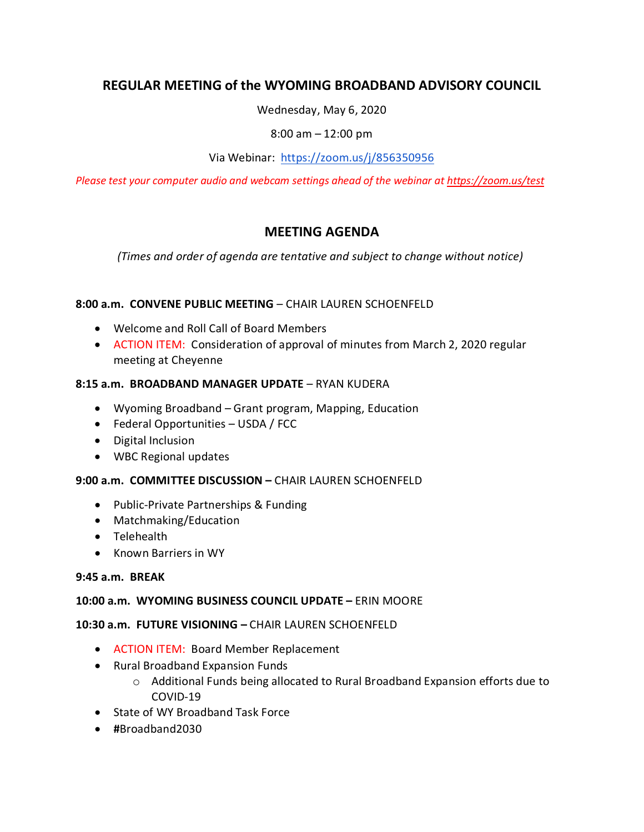# **REGULAR MEETING of the WYOMING BROADBAND ADVISORY COUNCIL**

Wednesday, May 6, 2020

8:00 am – 12:00 pm

Via Webinar: <https://zoom.us/j/856350956>

*Please test your computer audio and webcam settings ahead of the webinar at<https://zoom.us/test>*

# **MEETING AGENDA**

*(Times and order of agenda are tentative and subject to change without notice)*

## **8:00 a.m. CONVENE PUBLIC MEETING** – CHAIR LAUREN SCHOENFELD

- Welcome and Roll Call of Board Members
- ACTION ITEM: Consideration of approval of minutes from March 2, 2020 regular meeting at Cheyenne

#### **8:15 a.m. BROADBAND MANAGER UPDATE** – RYAN KUDERA

- Wyoming Broadband Grant program, Mapping, Education
- Federal Opportunities USDA / FCC
- Digital Inclusion
- WBC Regional updates

#### **9:00 a.m. COMMITTEE DISCUSSION –** CHAIR LAUREN SCHOENFELD

- Public-Private Partnerships & Funding
- Matchmaking/Education
- Telehealth
- Known Barriers in WY

#### **9:45 a.m. BREAK**

#### **10:00 a.m. WYOMING BUSINESS COUNCIL UPDATE –** ERIN MOORE

#### **10:30 a.m. FUTURE VISIONING –** CHAIR LAUREN SCHOENFELD

- ACTION ITEM: Board Member Replacement
- Rural Broadband Expansion Funds
	- o Additional Funds being allocated to Rural Broadband Expansion efforts due to COVID-19
- State of WY Broadband Task Force
- **#**Broadband2030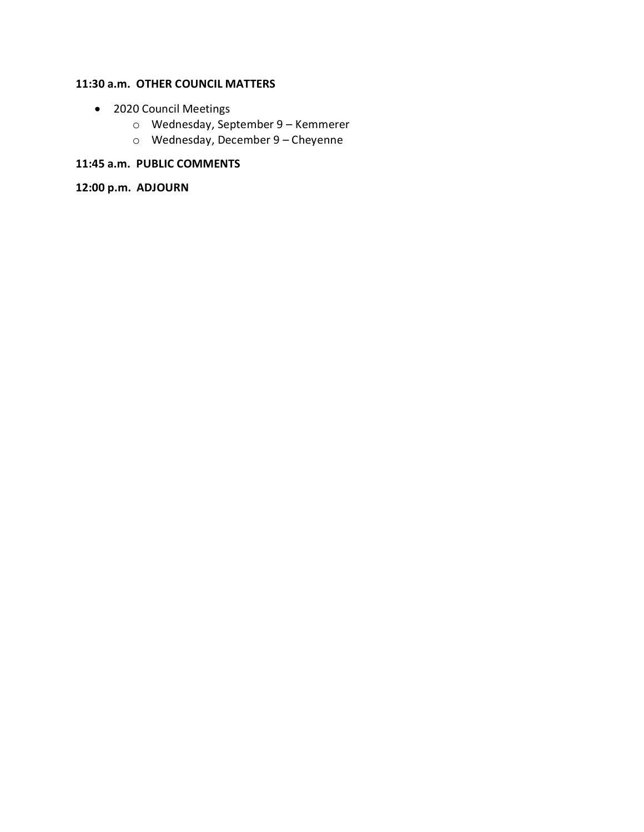## **11:30 a.m. OTHER COUNCIL MATTERS**

- 2020 Council Meetings
	- o Wednesday, September 9 Kemmerer
	- o Wednesday, December 9 Cheyenne

# **11:45 a.m. PUBLIC COMMENTS**

**12:00 p.m. ADJOURN**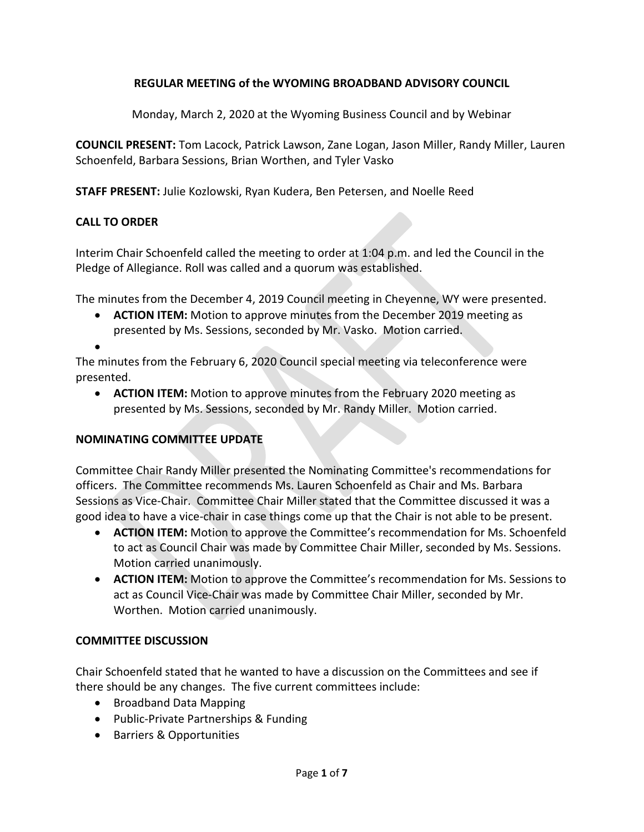## **REGULAR MEETING of the WYOMING BROADBAND ADVISORY COUNCIL**

Monday, March 2, 2020 at the Wyoming Business Council and by Webinar

**COUNCIL PRESENT:** Tom Lacock, Patrick Lawson, Zane Logan, Jason Miller, Randy Miller, Lauren Schoenfeld, Barbara Sessions, Brian Worthen, and Tyler Vasko

**STAFF PRESENT:** Julie Kozlowski, Ryan Kudera, Ben Petersen, and Noelle Reed

#### **CALL TO ORDER**

Interim Chair Schoenfeld called the meeting to order at 1:04 p.m. and led the Council in the Pledge of Allegiance. Roll was called and a quorum was established.

The minutes from the December 4, 2019 Council meeting in Cheyenne, WY were presented.

- **ACTION ITEM:** Motion to approve minutes from the December 2019 meeting as presented by Ms. Sessions, seconded by Mr. Vasko. Motion carried.
- •

The minutes from the February 6, 2020 Council special meeting via teleconference were presented.

• **ACTION ITEM:** Motion to approve minutes from the February 2020 meeting as presented by Ms. Sessions, seconded by Mr. Randy Miller. Motion carried.

#### **NOMINATING COMMITTEE UPDATE**

Committee Chair Randy Miller presented the Nominating Committee's recommendations for officers. The Committee recommends Ms. Lauren Schoenfeld as Chair and Ms. Barbara Sessions as Vice-Chair. Committee Chair Miller stated that the Committee discussed it was a good idea to have a vice-chair in case things come up that the Chair is not able to be present.

- **ACTION ITEM:** Motion to approve the Committee's recommendation for Ms. Schoenfeld to act as Council Chair was made by Committee Chair Miller, seconded by Ms. Sessions. Motion carried unanimously.
- **ACTION ITEM:** Motion to approve the Committee's recommendation for Ms. Sessions to act as Council Vice-Chair was made by Committee Chair Miller, seconded by Mr. Worthen. Motion carried unanimously.

#### **COMMITTEE DISCUSSION**

Chair Schoenfeld stated that he wanted to have a discussion on the Committees and see if there should be any changes. The five current committees include:

- Broadband Data Mapping
- Public-Private Partnerships & Funding
- Barriers & Opportunities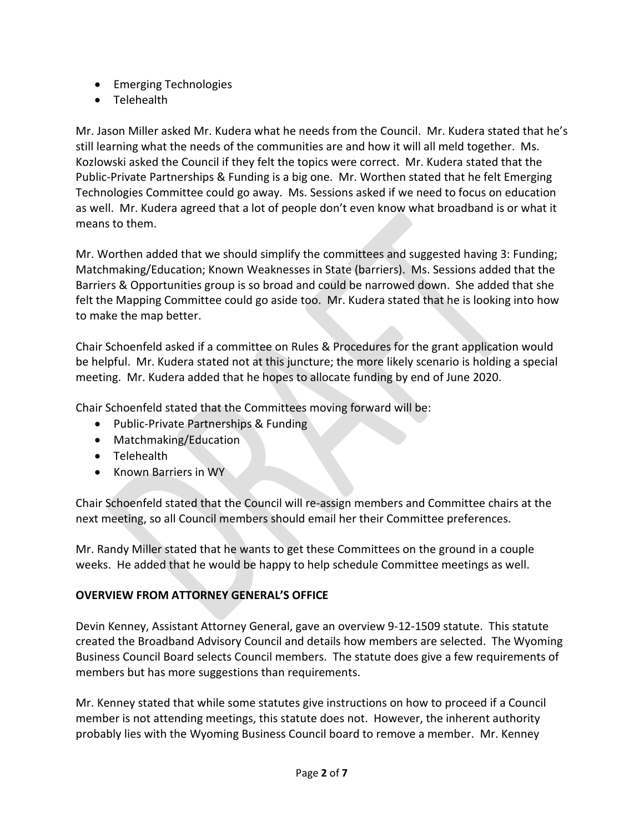- Emerging Technologies
- Telehealth

Mr. Jason Miller asked Mr. Kudera what he needs from the Council. Mr. Kudera stated that he's still learning what the needs of the communities are and how it will all meld together. Ms. Kozlowski asked the Council if they felt the topics were correct. Mr. Kudera stated that the Public-Private Partnerships & Funding is a big one. Mr. Worthen stated that he felt Emerging Technologies Committee could go away. Ms. Sessions asked if we need to focus on education as well. Mr. Kudera agreed that a lot of people don't even know what broadband is or what it means to them.

Mr. Worthen added that we should simplify the committees and suggested having 3: Funding; Matchmaking/Education; Known Weaknesses in State (barriers). Ms. Sessions added that the Barriers & Opportunities group is so broad and could be narrowed down. She added that she felt the Mapping Committee could go aside too. Mr. Kudera stated that he is looking into how to make the map better.

Chair Schoenfeld asked if a committee on Rules & Procedures for the grant application would be helpful. Mr. Kudera stated not at this juncture; the more likely scenario is holding a special meeting. Mr. Kudera added that he hopes to allocate funding by end of June 2020.

Chair Schoenfeld stated that the Committees moving forward will be:

- Public-Private Partnerships & Funding
- Matchmaking/Education
- Telehealth
- Known Barriers in WY

Chair Schoenfeld stated that the Council will re-assign members and Committee chairs at the next meeting, so all Council members should email her their Committee preferences.

Mr. Randy Miller stated that he wants to get these Committees on the ground in a couple weeks. He added that he would be happy to help schedule Committee meetings as well.

## **OVERVIEW FROM ATTORNEY GENERAL'S OFFICE**

Devin Kenney, Assistant Attorney General, gave an overview 9-12-1509 statute. This statute created the Broadband Advisory Council and details how members are selected. The Wyoming Business Council Board selects Council members. The statute does give a few requirements of members but has more suggestions than requirements.

Mr. Kenney stated that while some statutes give instructions on how to proceed if a Council member is not attending meetings, this statute does not. However, the inherent authority probably lies with the Wyoming Business Council board to remove a member. Mr. Kenney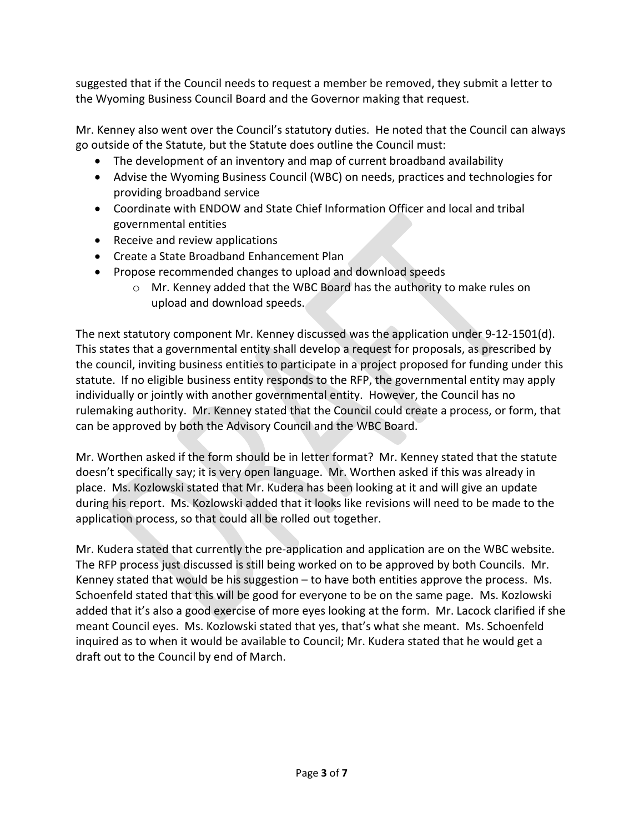suggested that if the Council needs to request a member be removed, they submit a letter to the Wyoming Business Council Board and the Governor making that request.

Mr. Kenney also went over the Council's statutory duties. He noted that the Council can always go outside of the Statute, but the Statute does outline the Council must:

- The development of an inventory and map of current broadband availability
- Advise the Wyoming Business Council (WBC) on needs, practices and technologies for providing broadband service
- Coordinate with ENDOW and State Chief Information Officer and local and tribal governmental entities
- Receive and review applications
- Create a State Broadband Enhancement Plan
- Propose recommended changes to upload and download speeds
	- o Mr. Kenney added that the WBC Board has the authority to make rules on upload and download speeds.

The next statutory component Mr. Kenney discussed was the application under 9-12-1501(d). This states that a governmental entity shall develop a request for proposals, as prescribed by the council, inviting business entities to participate in a project proposed for funding under this statute. If no eligible business entity responds to the RFP, the governmental entity may apply individually or jointly with another governmental entity. However, the Council has no rulemaking authority. Mr. Kenney stated that the Council could create a process, or form, that can be approved by both the Advisory Council and the WBC Board.

Mr. Worthen asked if the form should be in letter format? Mr. Kenney stated that the statute doesn't specifically say; it is very open language. Mr. Worthen asked if this was already in place. Ms. Kozlowski stated that Mr. Kudera has been looking at it and will give an update during his report. Ms. Kozlowski added that it looks like revisions will need to be made to the application process, so that could all be rolled out together.

Mr. Kudera stated that currently the pre-application and application are on the WBC website. The RFP process just discussed is still being worked on to be approved by both Councils. Mr. Kenney stated that would be his suggestion – to have both entities approve the process. Ms. Schoenfeld stated that this will be good for everyone to be on the same page. Ms. Kozlowski added that it's also a good exercise of more eyes looking at the form. Mr. Lacock clarified if she meant Council eyes. Ms. Kozlowski stated that yes, that's what she meant. Ms. Schoenfeld inquired as to when it would be available to Council; Mr. Kudera stated that he would get a draft out to the Council by end of March.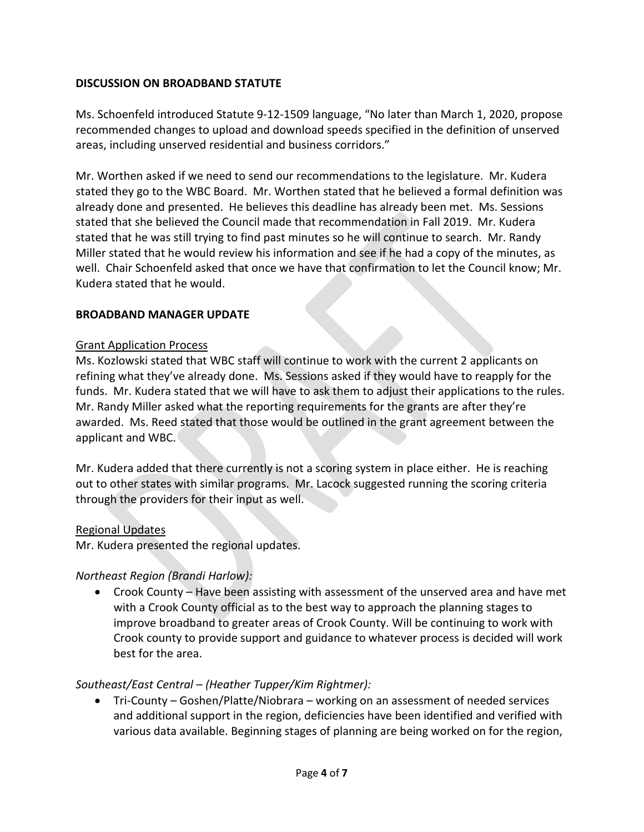### **DISCUSSION ON BROADBAND STATUTE**

Ms. Schoenfeld introduced Statute 9-12-1509 language, "No later than March 1, 2020, propose recommended changes to upload and download speeds specified in the definition of unserved areas, including unserved residential and business corridors."

Mr. Worthen asked if we need to send our recommendations to the legislature. Mr. Kudera stated they go to the WBC Board. Mr. Worthen stated that he believed a formal definition was already done and presented. He believes this deadline has already been met. Ms. Sessions stated that she believed the Council made that recommendation in Fall 2019. Mr. Kudera stated that he was still trying to find past minutes so he will continue to search. Mr. Randy Miller stated that he would review his information and see if he had a copy of the minutes, as well. Chair Schoenfeld asked that once we have that confirmation to let the Council know; Mr. Kudera stated that he would.

#### **BROADBAND MANAGER UPDATE**

#### Grant Application Process

Ms. Kozlowski stated that WBC staff will continue to work with the current 2 applicants on refining what they've already done. Ms. Sessions asked if they would have to reapply for the funds. Mr. Kudera stated that we will have to ask them to adjust their applications to the rules. Mr. Randy Miller asked what the reporting requirements for the grants are after they're awarded. Ms. Reed stated that those would be outlined in the grant agreement between the applicant and WBC.

Mr. Kudera added that there currently is not a scoring system in place either. He is reaching out to other states with similar programs. Mr. Lacock suggested running the scoring criteria through the providers for their input as well.

#### Regional Updates

Mr. Kudera presented the regional updates.

#### *Northeast Region (Brandi Harlow):*

• Crook County – Have been assisting with assessment of the unserved area and have met with a Crook County official as to the best way to approach the planning stages to improve broadband to greater areas of Crook County. Will be continuing to work with Crook county to provide support and guidance to whatever process is decided will work best for the area.

#### *Southeast/East Central – (Heather Tupper/Kim Rightmer):*

• Tri-County – Goshen/Platte/Niobrara – working on an assessment of needed services and additional support in the region, deficiencies have been identified and verified with various data available. Beginning stages of planning are being worked on for the region,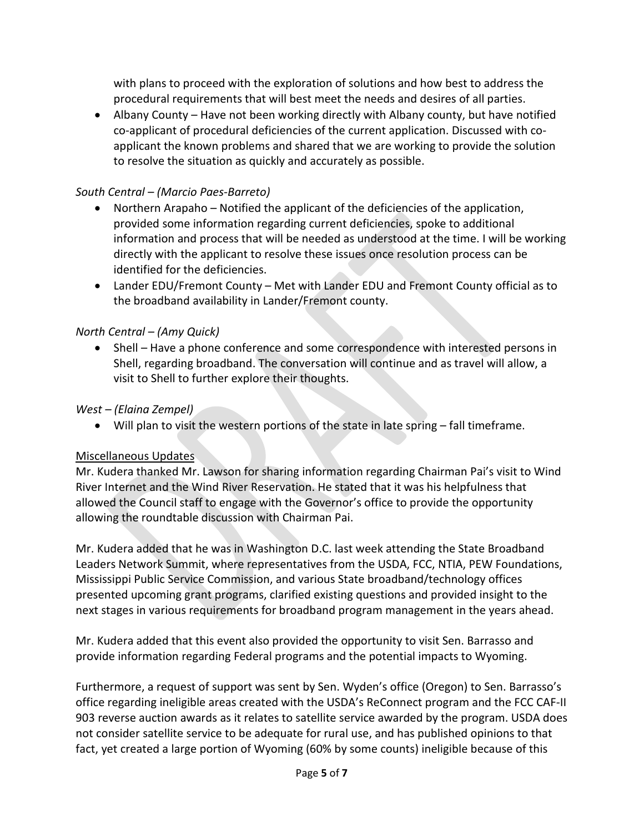with plans to proceed with the exploration of solutions and how best to address the procedural requirements that will best meet the needs and desires of all parties.

• Albany County – Have not been working directly with Albany county, but have notified co-applicant of procedural deficiencies of the current application. Discussed with coapplicant the known problems and shared that we are working to provide the solution to resolve the situation as quickly and accurately as possible.

### *South Central – (Marcio Paes-Barreto)*

- Northern Arapaho Notified the applicant of the deficiencies of the application, provided some information regarding current deficiencies, spoke to additional information and process that will be needed as understood at the time. I will be working directly with the applicant to resolve these issues once resolution process can be identified for the deficiencies.
- Lander EDU/Fremont County Met with Lander EDU and Fremont County official as to the broadband availability in Lander/Fremont county.

## *North Central – (Amy Quick)*

• Shell – Have a phone conference and some correspondence with interested persons in Shell, regarding broadband. The conversation will continue and as travel will allow, a visit to Shell to further explore their thoughts.

## *West – (Elaina Zempel)*

• Will plan to visit the western portions of the state in late spring – fall timeframe.

#### Miscellaneous Updates

Mr. Kudera thanked Mr. Lawson for sharing information regarding Chairman Pai's visit to Wind River Internet and the Wind River Reservation. He stated that it was his helpfulness that allowed the Council staff to engage with the Governor's office to provide the opportunity allowing the roundtable discussion with Chairman Pai.

Mr. Kudera added that he was in Washington D.C. last week attending the State Broadband Leaders Network Summit, where representatives from the USDA, FCC, NTIA, PEW Foundations, Mississippi Public Service Commission, and various State broadband/technology offices presented upcoming grant programs, clarified existing questions and provided insight to the next stages in various requirements for broadband program management in the years ahead.

Mr. Kudera added that this event also provided the opportunity to visit Sen. Barrasso and provide information regarding Federal programs and the potential impacts to Wyoming.

Furthermore, a request of support was sent by Sen. Wyden's office (Oregon) to Sen. Barrasso's office regarding ineligible areas created with the USDA's ReConnect program and the FCC CAF-II 903 reverse auction awards as it relates to satellite service awarded by the program. USDA does not consider satellite service to be adequate for rural use, and has published opinions to that fact, yet created a large portion of Wyoming (60% by some counts) ineligible because of this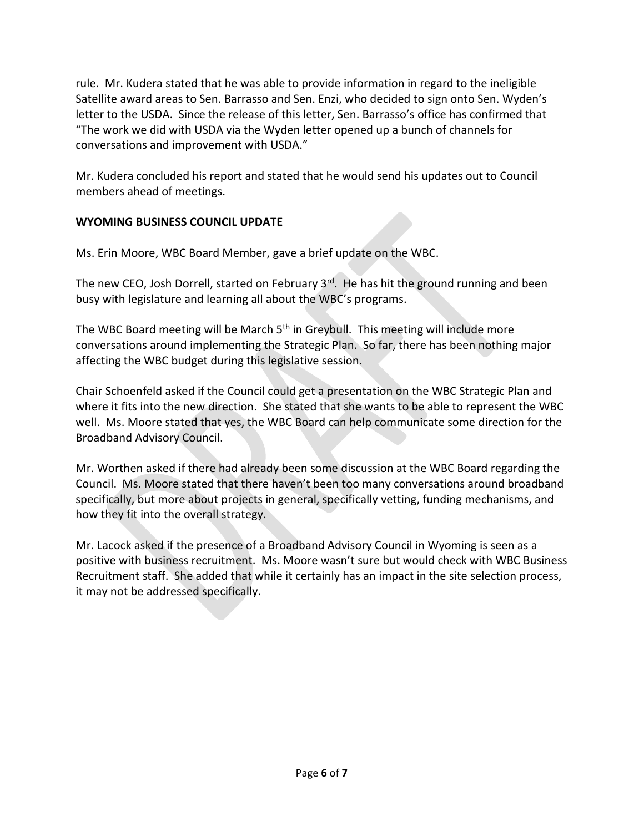rule. Mr. Kudera stated that he was able to provide information in regard to the ineligible Satellite award areas to Sen. Barrasso and Sen. Enzi, who decided to sign onto Sen. Wyden's letter to the USDA. Since the release of this letter, Sen. Barrasso's office has confirmed that "The work we did with USDA via the Wyden letter opened up a bunch of channels for conversations and improvement with USDA."

Mr. Kudera concluded his report and stated that he would send his updates out to Council members ahead of meetings.

# **WYOMING BUSINESS COUNCIL UPDATE**

Ms. Erin Moore, WBC Board Member, gave a brief update on the WBC.

The new CEO, Josh Dorrell, started on February  $3<sup>rd</sup>$ . He has hit the ground running and been busy with legislature and learning all about the WBC's programs.

The WBC Board meeting will be March 5<sup>th</sup> in Greybull. This meeting will include more conversations around implementing the Strategic Plan. So far, there has been nothing major affecting the WBC budget during this legislative session.

Chair Schoenfeld asked if the Council could get a presentation on the WBC Strategic Plan and where it fits into the new direction. She stated that she wants to be able to represent the WBC well. Ms. Moore stated that yes, the WBC Board can help communicate some direction for the Broadband Advisory Council.

Mr. Worthen asked if there had already been some discussion at the WBC Board regarding the Council. Ms. Moore stated that there haven't been too many conversations around broadband specifically, but more about projects in general, specifically vetting, funding mechanisms, and how they fit into the overall strategy.

Mr. Lacock asked if the presence of a Broadband Advisory Council in Wyoming is seen as a positive with business recruitment. Ms. Moore wasn't sure but would check with WBC Business Recruitment staff. She added that while it certainly has an impact in the site selection process, it may not be addressed specifically.